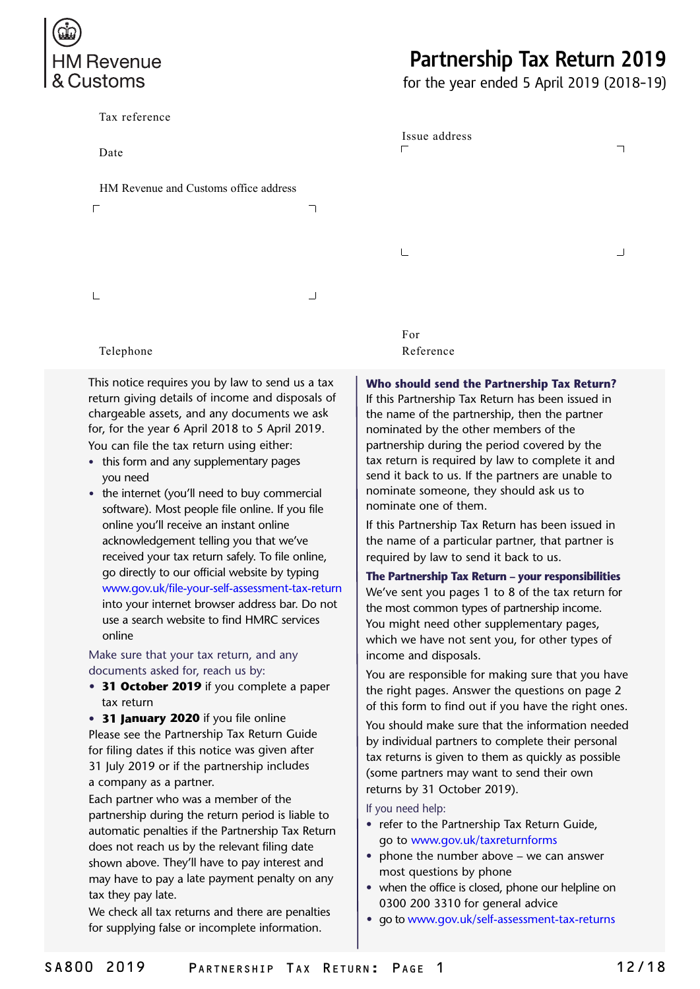

Tax reference

#### Date

### HM Revenue and Customs office address

| П         |                          |                  |  |
|-----------|--------------------------|------------------|--|
|           |                          |                  |  |
| L         |                          |                  |  |
|           | $\overline{\phantom{a}}$ |                  |  |
| Telephone |                          | For<br>Reference |  |

This notice requires you by law to send us a tax return giving details of income and disposals of chargeable assets, and any documents we ask for, for the year 6 April 2018 to 5 April 2019. You can file the tax return using either:

- this form and any supplementary pages you need
- *•* the internet (you'll need to buy commercial software). Most people file online. If you file online you'll receive an instant online acknowledgement telling you that we've received your tax return safely. To file online, go directly to our official website by typing www.gov.u[k/file-your-self-assessment-tax-return](https://www.gov.uk/log-in-file-self-assessment-tax-return)  into your internet browser address bar. Do not use a search website to find HMRC services online

Make sure that your tax return, and any documents asked for, reach us by:

*•* **31 October 2019** if you complete a paper tax return

• **31 January 2020** if you file online Please see the Partnership Tax Return Guide for filing dates if this notice was given after 31 July 2019 or if the partnership includes a company as a partner.

Each partner who was a member of the partnership during the return period is liable to automatic penalties if the Partnership Tax Return does not reach us by the relevant filing date shown above. They'll have to pay interest and may have to pay a late payment penalty on any tax they pay late.

We check all tax returns and there are penalties for supplying false or incomplete information.

# **Partnership Tax Return 2019**

for the year ended 5 April 2019 (2018–19)

 $\overline{\phantom{a}}$  $\Box$ Reference**Who should send the Partnership Tax Return?** If this Partnership Tax Return has been issued in the name of the partnership, then the partner nominated by the other members of the partnership during the period covered by the tax return is required by law to complete it and send it back to us. If the partners are unable to nominate someone, they should ask us to nominate one of them.

Issue address

If this Partnership Tax Return has been issued in the name of a particular partner, that partner is required by law to send it back to us.

**The Partnership Tax Return – your responsibilities** We've sent you pages 1 to 8 of the tax return for the most common types of partnership income. You might need other supplementary pages, which we have not sent you, for other types of income and disposals.

You are responsible for making sure that you have the right pages. Answer the questions on page 2 of this form to find out if you have the right ones.

You should make sure that the information needed by individual partners to complete their personal tax returns is given to them as quickly as possible (some partners may want to send their own returns by 31 October 2019).

#### If you need help:

- refer to the Partnership Tax Return Guide, go to [www.gov.uk/taxreturnforms](https://www.gov.uk/self-assessment-forms-and-helpsheets)
- phone the number above we can answer most questions by phone
- when the office is closed, phone our helpline on 0300 200 3310 for general advice
- go to [www.gov.uk/self-assessment-tax-returns](https://www.gov.uk/self-assessment-tax-returns)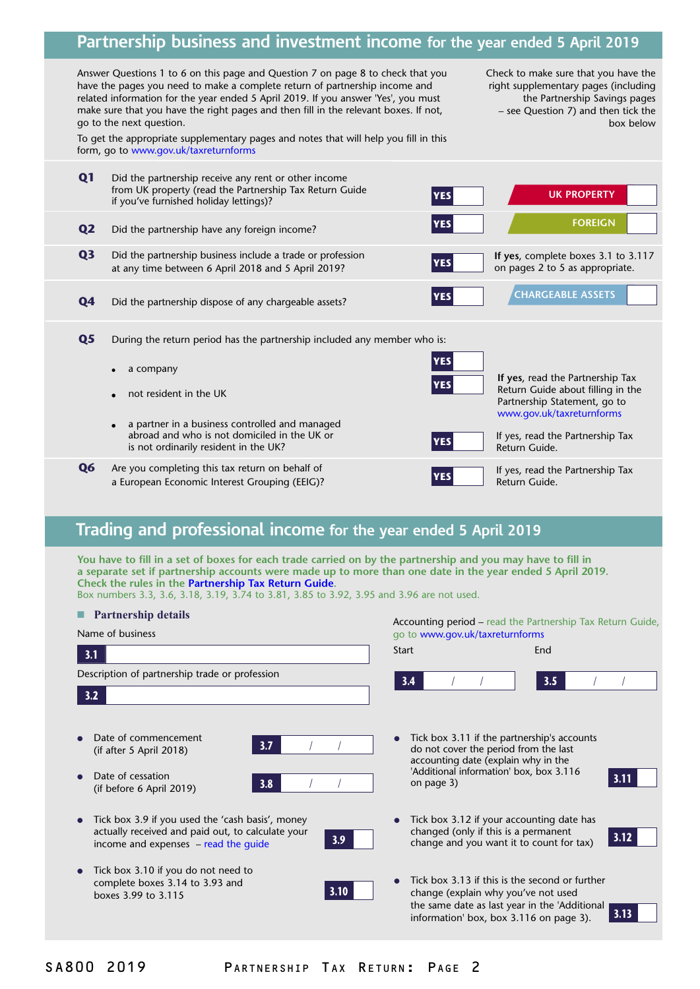## **Partnership business and investment income for the year ended 5 April 2019**

Answer Questions 1 to 6 on this page and Question 7 on page 8 to check that you have the pages you need to make a complete return of partnership income and related information for the year ended 5 April 2019. If you answer 'Yes', you must make sure that you have the right pages and then fill in the relevant boxes. If not, go to the next question.

Check to make sure that you have the right supplementary pages (including the Partnership Savings pages – see Question 7) and then tick the box below

To get the appropriate supplementary pages and notes that will help you fill in this form, go to [www.gov.uk/taxreturnforms](https://www.gov.uk/self-assessment-forms-and-helpsheets)

| Q <sub>1</sub> | Did the partnership receive any rent or other income<br>from UK property (read the Partnership Tax Return Guide<br>if you've furnished holiday lettings)?                                                                                                                             | <b>YES</b>               | <b>UK PROPERTY</b>                                                                                                                                                                      |
|----------------|---------------------------------------------------------------------------------------------------------------------------------------------------------------------------------------------------------------------------------------------------------------------------------------|--------------------------|-----------------------------------------------------------------------------------------------------------------------------------------------------------------------------------------|
| Q <sub>2</sub> | <b>YES</b><br>Did the partnership have any foreign income?                                                                                                                                                                                                                            |                          | <b>FOREIGN</b>                                                                                                                                                                          |
| Q <sub>3</sub> | Did the partnership business include a trade or profession<br>at any time between 6 April 2018 and 5 April 2019?                                                                                                                                                                      | <b>YES</b>               | If yes, complete boxes 3.1 to 3.117<br>on pages 2 to 5 as appropriate.                                                                                                                  |
| Q4             | Did the partnership dispose of any chargeable assets?                                                                                                                                                                                                                                 | <b>YES</b>               | <b>CHARGEABLE ASSETS</b>                                                                                                                                                                |
| Q <sub>5</sub> | During the return period has the partnership included any member who is:<br>a company<br>not resident in the UK<br>a partner in a business controlled and managed<br>$\bullet$<br>abroad and who is not domiciled in the UK or<br><b>YES</b><br>is not ordinarily resident in the UK? | <b>YES</b><br><b>YES</b> | If yes, read the Partnership Tax<br>Return Guide about filling in the<br>Partnership Statement, go to<br>www.gov.uk/taxreturnforms<br>If yes, read the Partnership Tax<br>Return Guide. |
| Q6             | Are you completing this tax return on behalf of<br>a European Economic Interest Grouping (EEIG)?                                                                                                                                                                                      | <b>YES</b>               | If yes, read the Partnership Tax<br>Return Guide.                                                                                                                                       |

## **Trading and professional income for the year ended 5 April 2019**

**You have to fill in a set of boxes for each trade carried on by the partnership and you may have to fill in a separate set if partnership accounts were made up to more than one date in the year ended 5 April 2019. Check the rules in the [Partnership Tax Return Guide.](https://www.gov.uk/government/publications/self-assessment-partnership-tax-return-sa800)**

Box numbers 3.3, 3.6, 3.18, 3.19, 3.74 to 3.81, 3.85 to 3.92, 3.95 and 3.96 are not used.

#### ■ **Partnership details**

| <b>Partnership details</b><br>Name of business                                                   | Accounting period – read the Partnership Tax Return Guide,                                        |
|--------------------------------------------------------------------------------------------------|---------------------------------------------------------------------------------------------------|
|                                                                                                  | go to www.gov.uk/taxreturnforms                                                                   |
| 3.1                                                                                              | <b>Start</b><br>End                                                                               |
| Description of partnership trade or profession                                                   | 3.4<br>3.5                                                                                        |
| 3.2                                                                                              |                                                                                                   |
|                                                                                                  |                                                                                                   |
| Date of commencement<br>3.7<br>(if after 5 April 2018)                                           | Tick box 3.11 if the partnership's accounts<br>$\bullet$<br>do not cover the period from the last |
|                                                                                                  | accounting date (explain why in the                                                               |
| Date of cessation<br>3.8                                                                         | 'Additional information' box, box 3.116<br>3.11<br>on page 3)                                     |
| (if before 6 April 2019)                                                                         |                                                                                                   |
| Tick box 3.9 if you used the 'cash basis', money                                                 | Tick box 3.12 if your accounting date has<br>$\bullet$                                            |
| actually received and paid out, to calculate your<br>3.9<br>income and expenses – read the quide | changed (only if this is a permanent<br>3.12<br>change and you want it to count for tax)          |
|                                                                                                  |                                                                                                   |
| Tick box 3.10 if you do not need to                                                              | Tick box 3.13 if this is the second or further<br>$\bullet$                                       |
| complete boxes 3.14 to 3.93 and<br>3.10<br>boxes 3.99 to 3.115                                   | change (explain why you've not used                                                               |
|                                                                                                  | the same date as last year in the 'Additional<br>3.13                                             |
|                                                                                                  | information' box, box 3.116 on page 3).                                                           |

SA800 2019 PARTNERSHIP TAX RETURN: PAGE 2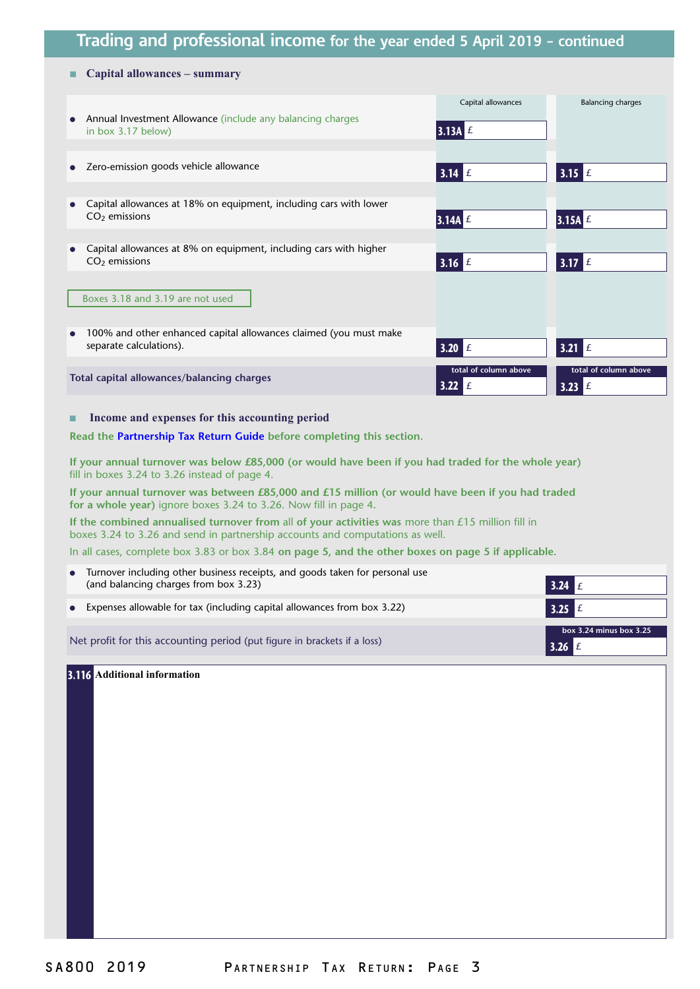## **Trading and professional income for the year ended 5 April 2019 – continued**

#### ■ **Capital allowances – summary**

|           |                                                                                      | Capital allowances    | <b>Balancing charges</b> |
|-----------|--------------------------------------------------------------------------------------|-----------------------|--------------------------|
|           | Annual Investment Allowance (include any balancing charges<br>in box 3.17 below)     | 3.13A E               |                          |
|           |                                                                                      |                       |                          |
|           | Zero-emission goods vehicle allowance                                                | 3.14 $f$              | $3.15$ $f$               |
|           |                                                                                      |                       |                          |
|           | Capital allowances at 18% on equipment, including cars with lower                    |                       |                          |
|           | $CO2$ emissions                                                                      |                       | $3.15A \n&\text{£}$      |
|           |                                                                                      |                       |                          |
| $\bullet$ | Capital allowances at 8% on equipment, including cars with higher<br>$CO2$ emissions | 3.16 $E$              | 3.17 $E$                 |
|           |                                                                                      |                       |                          |
|           | Boxes 3.18 and 3.19 are not used                                                     |                       |                          |
| $\bullet$ | 100% and other enhanced capital allowances claimed (you must make                    |                       |                          |
|           | separate calculations).                                                              | $3.20$ $E$            | 3.21 $E$                 |
|           |                                                                                      | total of column above | total of column above    |
|           | Total capital allowances/balancing charges                                           | 3.22                  | 3.23                     |

#### **Income and expenses for this accounting period** ■

**Read the [Partnership Tax Return Guide](https://www.gov.uk/government/publications/self-assessment-partnership-tax-return-sa800) before completing this section.**

**If your annual turnover was below £85,000 (or would have been if you had traded for the whole year)** fill in boxes 3.24 to 3.26 instead of page 4.

**If your annual turnover was between £85,000 and £15 million (or would have been if you had traded for a whole year)** ignore boxes 3.24 to 3.26. Now fill in page 4**.**

**If the combined annualised turnover from** all **of your activities was** more than £15 million fill in boxes 3.24 to 3.26 and send in partnership accounts and computations as well.

In all cases, complete box 3.83 or box 3.84 **on page 5, and the other boxes on page 5 if applicable.**

| Turnover including other business receipts, and goods taken for personal use<br>(and balancing charges from box 3.23) | $3.24 \tE$                              |
|-----------------------------------------------------------------------------------------------------------------------|-----------------------------------------|
| Expenses allowable for tax (including capital allowances from box 3.22)                                               | $3.25 \quad \text{£}$                   |
| Net profit for this accounting period (put figure in brackets if a loss)                                              | box 3.24 minus box 3.25<br>$3.26$ $\pm$ |

### **Additional information 3.116**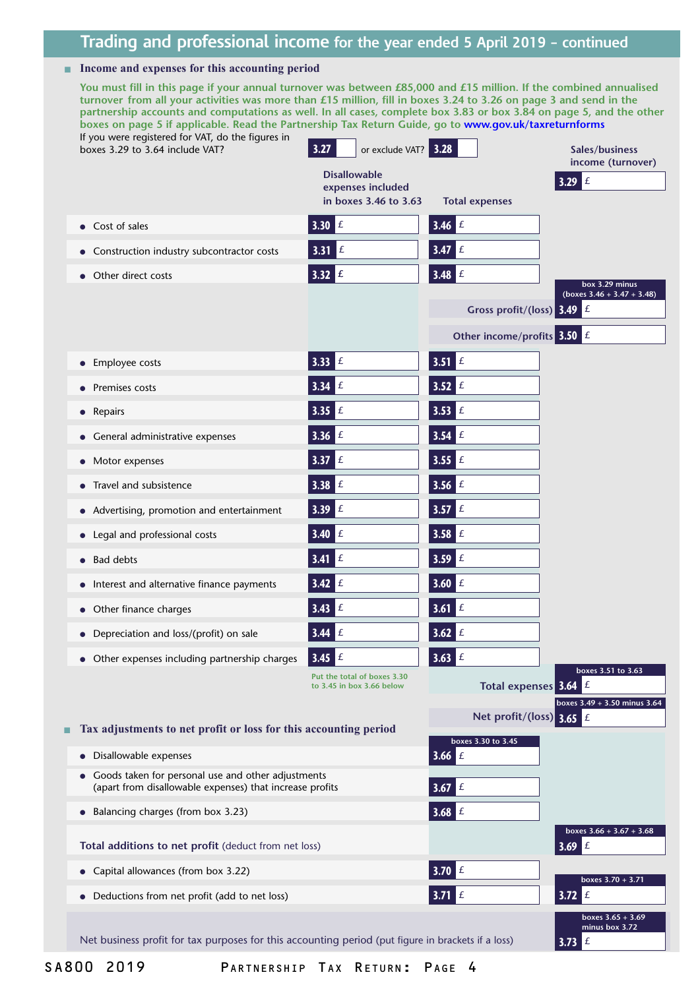## **Trading and professional income for the year ended 5 April 2019 – continued**

#### **Income and expenses for this accounting period** ■

 **You must fill in this page if your annual turnover was between £85,000 and £15 million. If the combined annualised turnover from all your activities was more than £15 million, fill in boxes 3.24 to 3.26 on page 3 and send in the partnership accounts and computations as well. In all cases, complete box 3.83 or box 3.84 on page 5, and the other boxes on page 5 if applicable. Read the Partnership Tax Return Guide, go to [www.gov.uk/taxreturnforms](https://www.gov.uk/self-assessment-forms-and-helpsheets)** If you were registered for VAT, do the figures in

**Put the total of boxes 3.30 to 3.45 in box 3.66 below** boxes 3.29 to 3.64 include VAT? or exclude VAT? **Sales/business income (turnover) Disallowable expenses included in boxes 3.46 to 3.63 Total expenses** ● Cost of sales ● Construction industry subcontractor costs ● Other direct costs  **Gross profit/(loss) 3.49** £  **Other income/profits 3.50** £ ● Employee costs ● Premises costs **Repairs** ● General administrative expenses ● Motor expenses ● Travel and subsistence ● Advertising, promotion and entertainment ● Legal and professional costs ● Bad debts ● Interest and alternative finance payments ● Other finance charges ● Depreciation and loss/(profit) on sale ● Other expenses including partnership charges **1 1999 - Total expenses 3.64**  $\pm$  **2.64**  $\pm$  **2.64**  $\pm$  **3.45** in box 3.66 below **Total expenses 3.64**  $\pm$  **Net profit/(loss) 3.65** £ £ **3.31** £ **3.32 3.30** £ **3.47** £ **3.33** £ **3.34** £ **3.35** £ **3.36** £ **3.37** £ **3.38** £ **3.39** £ **3.46** £ £ £ **3.48 3.51** £ **3.40** £ **3.41** £ **3.42** £ **3.43** £ **3.44** £ **3.45** £ **3.52** £ **3.53** £ **3.54** £ **3.55** £ **3.56** £ **3.57** £ **3.58** £ **3.59** £ **3.60** £ **3.61** £ **3.62** £ **3.63** £ **3.29** £ **3.27 3.28 box 3.29 minus (boxes 3.46 + 3.47 + 3.48) boxes 3.51 to 3.63 boxes 3.49 + 3.50 minus 3.64**

**Tax adjustments to net profit or loss for this accounting period** ■

- Disallowable expenses
- Goods taken for personal use and other adjustments (apart from disallowable expenses) that increase profits
- Balancing charges (from box 3.23)

#### **Total additions to net profit** (deduct from net loss)

- Capital allowances (from box 3.22)
- Deductions from net profit (add to net loss)

Net business profit for tax purposes for this accounting period (put figure in brackets if a loss)

SA800 2019 PARTNERSHIP TAX RETURN: PAGE 4

**3.66** £

**boxes 3.30 to 3.45**

**3.67** £

**3.68** £

**3.70** £

**3.71** £

**3.72** £

**3.73** £

**3.69** £

**boxes 3.66 + 3.67 + 3.68**

**boxes 3.70 + 3.71**

**boxes 3.65 + 3.69 minus box 3.72**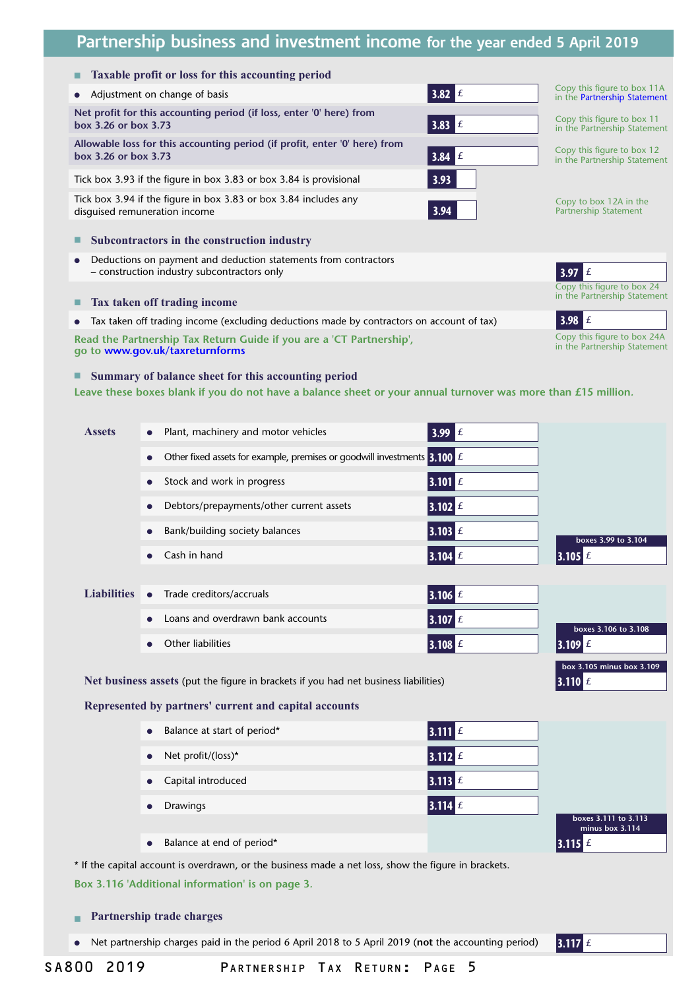## **Partnership business and investment income for the year ended 5 April 2019**

#### ■ Taxable profit or loss for this accounting period

Adjustment on change of basis **Net profit for this accounting period (if loss, enter '0' here) from box 3.26 or box 3.73 Allowable loss for this accounting period (if profit, enter '0' here) from box 3.26 or box 3.73** Tick box 3.93 if the figure in box 3.83 or box 3.84 is provisional Tick box 3.94 if the figure in box 3.83 or box 3.84 includes any disguised remuneration income **3.84** £ **3.93 3.82** £ **3.83** £

#### ■ Subcontractors in the construction industry

● Deductions on payment and deduction statements from contractors – construction industry subcontractors only

#### ■ Tax taken off trading income

● Tax taken off trading income (excluding deductions made by contractors on account of tax)

**Read the Partnership Tax Return Guide if you are a 'CT Partnership', go to [www.gov.uk/taxreturnforms](https://www.gov.uk/self-assessment-forms-and-helpsheets)**

#### ■ Summary of balance sheet for this accounting period

**Leave these boxes blank if you do not have a balance sheet or your annual turnover was more than £15 million***.*

| <b>Assets</b>      |           | Plant, machinery and motor vehicles                                                                                                           | $3.99$ £                  |                                         |
|--------------------|-----------|-----------------------------------------------------------------------------------------------------------------------------------------------|---------------------------|-----------------------------------------|
|                    |           | Other fixed assets for example, premises or goodwill investments 3,100 $\pm$                                                                  |                           |                                         |
|                    |           | Stock and work in progress                                                                                                                    | $3.101 \text{ E}$         |                                         |
|                    |           | Debtors/prepayments/other current assets                                                                                                      | $3.102$ £                 |                                         |
|                    |           | Bank/building society balances                                                                                                                | 3.103                     | boxes 3.99 to 3.104                     |
|                    |           | Cash in hand                                                                                                                                  | $3.104$ £                 | $3.105$ £                               |
|                    |           |                                                                                                                                               |                           |                                         |
| <b>Liabilities</b> | $\bullet$ | Trade creditors/accruals                                                                                                                      | $3.106$ £                 |                                         |
|                    |           | Loans and overdrawn bank accounts                                                                                                             | $3.107$ £                 | boxes 3.106 to 3.108                    |
|                    |           | Other liabilities                                                                                                                             | $3.108 \text{ E}$         | 3.109E                                  |
|                    |           | Net business assets (put the figure in brackets if you had net business liabilities)<br>Represented by partners' current and capital accounts |                           | box 3.105 minus box 3.109<br>$3.110$ £  |
|                    | $\bullet$ | Balance at start of period*                                                                                                                   | $3.111$ $E$               |                                         |
|                    |           | Net profit/(loss)*                                                                                                                            | $3.112 \mathcal{L}$       |                                         |
|                    |           | Capital introduced                                                                                                                            | $3.113 \n\mathcal{L}$     |                                         |
|                    |           | Drawings                                                                                                                                      | $3.114 \text{ } \epsilon$ |                                         |
|                    |           |                                                                                                                                               |                           | boxes 3.111 to 3.113<br>minus box 3.114 |
|                    | $\bullet$ | Balance at end of period*                                                                                                                     |                           | $3.115$ £                               |
|                    |           | * If the capital account is overdrawn, or the business made a net loss, show the figure in brackets.                                          |                           |                                         |

**Box 3.116 'Additional information' is on page 3***.*

#### **Partnership trade charges** ■

Net partnership charges paid in the period 6 April 2018 to 5 April 2019 (not the accounting period)

Copy this figure to box 11A in the [Partnership Statement](https://www.gov.uk/government/publications/self-assessment-partnership-statement-full-sa800ps)

Copy this figure to box 11 in the Partnership Statement

Copy this figure to box 12 in the Partnership Statement

Copy to box 12A in the **3.94** Partnership Statement

> Copy this figure to box 24 in the Partnership Statement **3.97** £

#### Copy this figure to box 24A in the Partnership Statement **3.98** £

**3.117** £

SA800 2019 PARTNERSHIP TAX RETURN: PAGE 5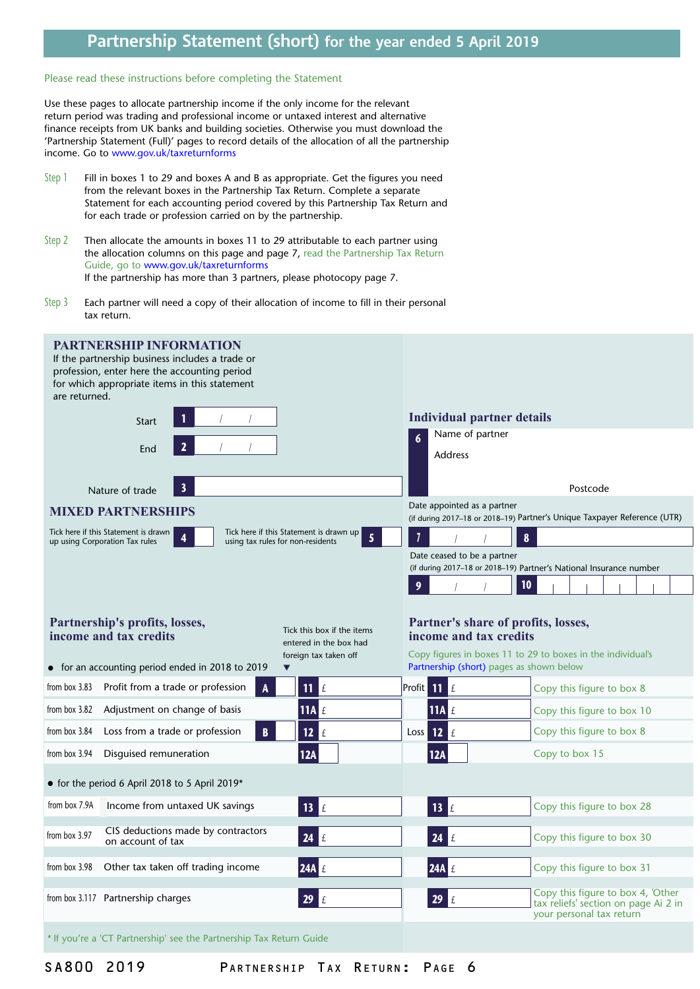## **Partnership Statement (short) for the year ended 5 April 2019**

#### Please read these instructions before completing the Statement

**PARTNERSHIP INFORMATION**

Use these pages to allocate partnership income if the only income for the relevant return period was trading and professional income or untaxed interest and alternative finance receipts from UK banks and building societies. Otherwise you must download the 'Partnership Statement (Full)' pages to record details of the allocation of all the partnership income. Go to [www.gov.uk/taxreturnforms](https://www.gov.uk/self-assessment-forms-and-helpsheets)

- Step 1 Fill in boxes 1 to 29 and boxes A and B as appropriate. Get the figures you need from the relevant boxes in the Partnership Tax Return. Complete a separate Statement for each accounting period covered by this Partnership Tax Return and for each trade or profession carried on by the partnership.
- Step 2 Then allocate the amounts in boxes 11 to 29 attributable to each partner using the allocation columns on this page and page 7, read the Partnership Tax Return Guide, go to [www.gov.uk/taxreturnforms](https://www.gov.uk/self-assessment-forms-and-helpsheets) If the partnership has more than 3 partners, please photocopy page 7.
- Step 3 Each partner will need a copy of their allocation of income to fill in their personal tax return.

#### If the partnership business includes a trade or profession, enter here the accounting period for which appropriate items in this statement are returned. Start End Nature of trade Tick here if this Statement is drawn up using tax rules for non-residents **4 5** Tick here if this Statement is drawn up using Corporation Tax rules **MIXED PARTNERSHIPS 1** / / **2** / / **3 6 Individual partner details** Name of partner Address Postcode Date appointed as a partner (if during 2017–18 or 2018–19) Partner's Unique Taxpayer Reference (UTR) **9** / / **<sup>7</sup>** / / **8 10**  Date ceased to be a partner (if during 2017–18 or 2018–19) Partner's National Insurance number

|                 | Partnership's profits, losses,<br>income and tax credits<br>• for an accounting period ended in 2018 to 2019 | Tick this box if the items<br>entered in the box had<br>foreign tax taken off | Partner's share of profits, losses,<br>income and tax credits<br>Partnership (short) pages as shown below | Copy figures in boxes 11 to 29 to boxes in the individual's                                           |
|-----------------|--------------------------------------------------------------------------------------------------------------|-------------------------------------------------------------------------------|-----------------------------------------------------------------------------------------------------------|-------------------------------------------------------------------------------------------------------|
| from box 3.83   | Profit from a trade or profession<br>A                                                                       | $11$ $f$                                                                      | Profit 11 $f$                                                                                             | Copy this figure to box 8                                                                             |
| from box $3.82$ | Adjustment on change of basis                                                                                | 11A                                                                           | 11A                                                                                                       | Copy this figure to box 10                                                                            |
| from box 3.84   | Loss from a trade or profession<br>$\mathbf{B}$                                                              | $12 \mid f$                                                                   | $12 \mid f$<br>Loss                                                                                       | Copy this figure to box 8                                                                             |
| from box 3.94   | Disguised remuneration                                                                                       | 12A                                                                           | <b>12A</b>                                                                                                | Copy to box 15                                                                                        |
|                 | • for the period 6 April 2018 to 5 April 2019*                                                               |                                                                               |                                                                                                           |                                                                                                       |
| from box 7.9A   | Income from untaxed UK savings                                                                               | $13 \t f$                                                                     | 13f                                                                                                       | Copy this figure to box 28                                                                            |
| from box 3.97   | CIS deductions made by contractors<br>on account of tax                                                      | $24$ $f$                                                                      | $24 \t f$                                                                                                 | Copy this figure to box 30                                                                            |
| from box 3.98   | Other tax taken off trading income                                                                           | $24A$ $f$                                                                     | $24A$ $f$                                                                                                 | Copy this figure to box 31                                                                            |
|                 | from box 3.117 Partnership charges                                                                           | $29 \text{ } f$                                                               | $29$ $f$                                                                                                  | Copy this figure to box 4, 'Other<br>tax reliefs' section on page Ai 2 in<br>your personal tax return |

*\** If you're a 'CT Partnership' see the Partnership Tax Return Guide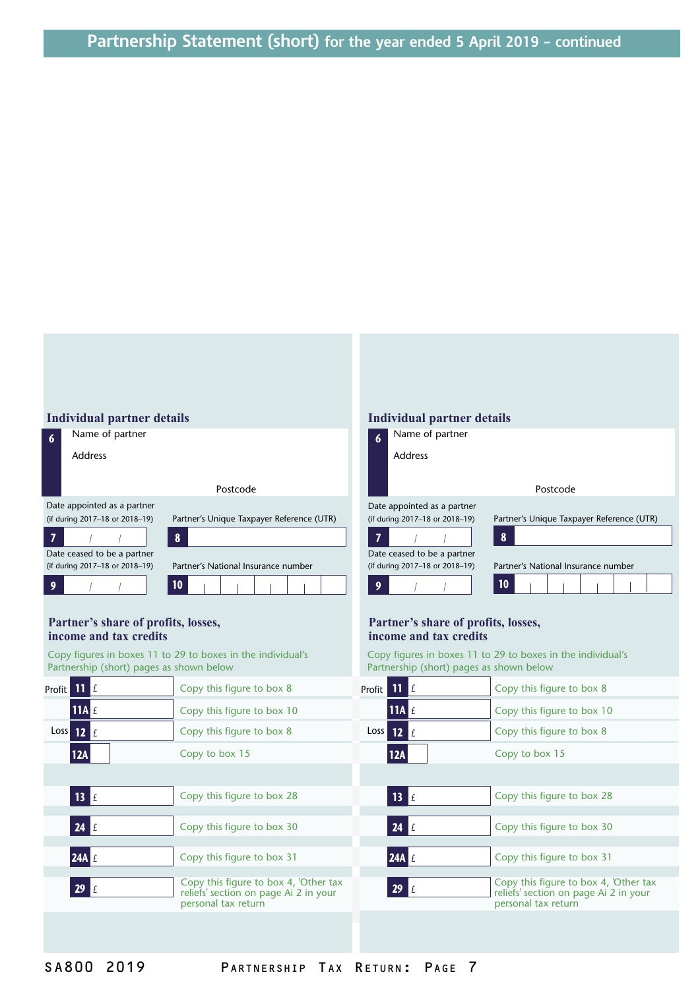### **Individual partner details**

| Name of partner<br>6                                          |                                           | Name of pa<br>6                                |
|---------------------------------------------------------------|-------------------------------------------|------------------------------------------------|
| Address                                                       |                                           | <b>Address</b>                                 |
|                                                               | Postcode                                  |                                                |
| Date appointed as a partner<br>(if during 2017-18 or 2018-19) | Partner's Unique Taxpayer Reference (UTR) | Date appointed as a<br>(if during 2017-18 or 2 |
|                                                               | 8                                         | 7                                              |
| Date ceased to be a partner                                   |                                           | Date ceased to be a                            |
| (if during 2017-18 or 2018-19)                                | Partner's National Insurance number       | (if during 2017-18 or 2                        |
| 9                                                             | 10                                        | 9                                              |

### **Partner's share of profits, losses, income and tax credits**

 $\mathbf{I}$ 

Copy figures in boxes 11 to 29 to boxes in the individual's Partnership (short) pages as shown below

| Copy this figure to box 8                                                                             | Profit $\boxed{1}$ <i>f</i> | Copy this figure                                           |
|-------------------------------------------------------------------------------------------------------|-----------------------------|------------------------------------------------------------|
| Copy this figure to box 10                                                                            | 11A                         | Copy this figure                                           |
| Copy this figure to box 8                                                                             | Loss $12 \t f$              | Copy this figure                                           |
| Copy to box 15                                                                                        | <b>12A</b>                  | Copy to box 15                                             |
|                                                                                                       |                             |                                                            |
| Copy this figure to box 28                                                                            |                             | Copy this figure                                           |
| Copy this figure to box 30                                                                            | $24 \mid f$                 | Copy this figure                                           |
| Copy this figure to box 31                                                                            | $24A$ $f$                   | Copy this figure                                           |
| Copy this figure to box 4, 'Other tax<br>reliefs' section on page Ai 2 in your<br>personal tax return | $29 \text{ }E$              | Copy this figure<br>reliefs' section o<br>personal tax ret |
|                                                                                                       |                             |                                                            |

#### **Individual partner details**

|                                           | Name of partner<br>$6\phantom{1}6$ |                                           |
|-------------------------------------------|------------------------------------|-------------------------------------------|
|                                           | Address                            |                                           |
| Postcode                                  |                                    | Postcode                                  |
|                                           | Date appointed as a partner        |                                           |
| Partner's Unique Taxpayer Reference (UTR) | (if during 2017-18 or 2018-19)     | Partner's Unique Taxpayer Reference (UTR) |
| 8                                         | 7                                  | 8                                         |
|                                           | Date ceased to be a partner        |                                           |
| Partner's National Insurance number       | (if during 2017-18 or 2018-19)     | Partner's National Insurance number       |
| 10                                        | 9                                  | 10                                        |

### **Partner's share of profits, losses, income and tax credits**

Copy figures in boxes 11 to 29 to boxes in the individual's Partnership (short) pages as shown below

| Copy this figure to box 8                                                                             | Profit | $11 \mathbf{f}$ | Copy this figure to box 8                                                                             |
|-------------------------------------------------------------------------------------------------------|--------|-----------------|-------------------------------------------------------------------------------------------------------|
| Copy this figure to box 10                                                                            |        | $11A$ $f$       | Copy this figure to box 10                                                                            |
| Copy this figure to box 8                                                                             |        | Loss $12 \t f$  | Copy this figure to box 8                                                                             |
| Copy to box 15                                                                                        |        | 12A             | Copy to box 15                                                                                        |
|                                                                                                       |        |                 |                                                                                                       |
| Copy this figure to box 28                                                                            |        | $13 \t f$       | Copy this figure to box 28                                                                            |
|                                                                                                       |        |                 |                                                                                                       |
| Copy this figure to box 30                                                                            |        | $24 \t f$       | Copy this figure to box 30                                                                            |
| Copy this figure to box 31                                                                            |        | 24A             | Copy this figure to box 31                                                                            |
|                                                                                                       |        |                 |                                                                                                       |
| Copy this figure to box 4, 'Other tax<br>reliefs' section on page Ai 2 in your<br>personal tax return |        | $29$ $f$        | Copy this figure to box 4, 'Other tax<br>reliefs' section on page Ai 2 in your<br>personal tax return |
|                                                                                                       |        |                 |                                                                                                       |